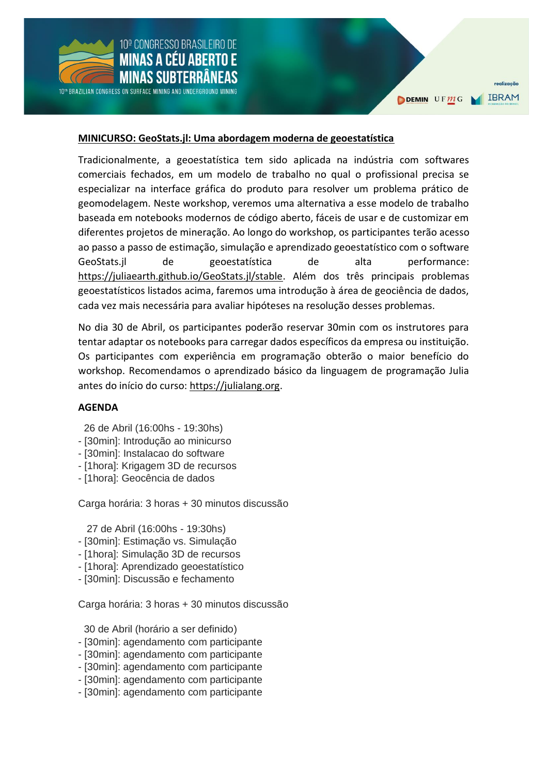

DEMIN UFMG



realização

#### **MINICURSO: GeoStats.jl: Uma abordagem moderna de geoestatística**

Tradicionalmente, a geoestatística tem sido aplicada na indústria com softwares comerciais fechados, em um modelo de trabalho no qual o profissional precisa se especializar na interface gráfica do produto para resolver um problema prático de geomodelagem. Neste workshop, veremos uma alternativa a esse modelo de trabalho baseada em notebooks modernos de código aberto, fáceis de usar e de customizar em diferentes projetos de mineração. Ao longo do workshop, os participantes terão acesso ao passo a passo de estimação, simulação e aprendizado geoestatístico com o software GeoStats.jl de geoestatística de alta performance: [https://juliaearth.github.io/GeoStats.jl/stable.](https://juliaearth.github.io/GeoStats.jl/stable) Além dos três principais problemas geoestatísticos listados acima, faremos uma introdução à área de geociência de dados, cada vez mais necessária para avaliar hipóteses na resolução desses problemas.

No dia 30 de Abril, os participantes poderão reservar 30min com os instrutores para tentar adaptar os notebooks para carregar dados específicos da empresa ou instituição. Os participantes com experiência em programação obterão o maior benefício do workshop. Recomendamos o aprendizado básico da linguagem de programação Julia antes do início do curso: [https://julialang.org.](https://julialang.org/)

#### **AGENDA**

26 de Abril (16:00hs - 19:30hs)

- [30min]: Introdução ao minicurso
- [30min]: Instalacao do software
- [1hora]: Krigagem 3D de recursos
- [1hora]: Geocência de dados

Carga horária: 3 horas + 30 minutos discussão

27 de Abril (16:00hs - 19:30hs)

- [30min]: Estimação vs. Simulação
- [1hora]: Simulação 3D de recursos
- [1hora]: Aprendizado geoestatístico
- [30min]: Discussão e fechamento

Carga horária: 3 horas + 30 minutos discussão

30 de Abril (horário a ser definido)

- [30min]: agendamento com participante
- [30min]: agendamento com participante
- [30min]: agendamento com participante
- [30min]: agendamento com participante
- [30min]: agendamento com participante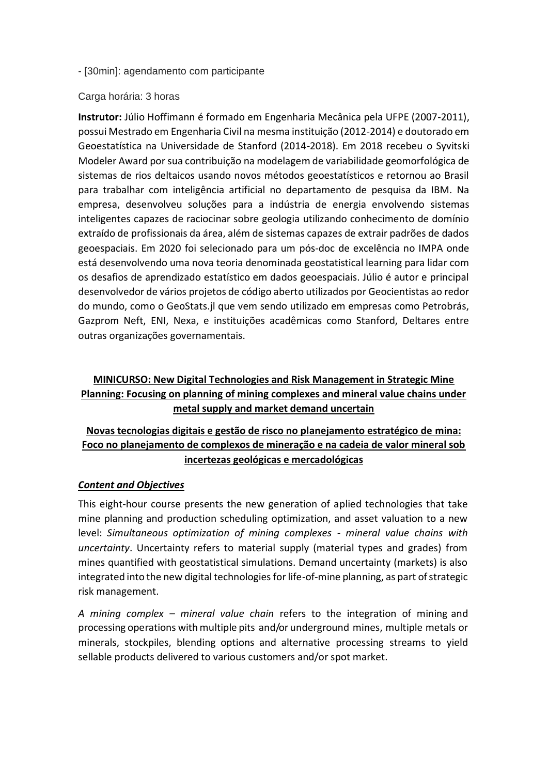- [30min]: agendamento com participante

### Carga horária: 3 horas

**Instrutor:** Júlio Hoffimann é formado em Engenharia Mecânica pela UFPE (2007-2011), possui Mestrado em Engenharia Civil na mesma instituição (2012-2014) e doutorado em Geoestatística na Universidade de Stanford (2014-2018). Em 2018 recebeu o Syvitski Modeler Award por sua contribuição na modelagem de variabilidade geomorfológica de sistemas de rios deltaicos usando novos métodos geoestatísticos e retornou ao Brasil para trabalhar com inteligência artificial no departamento de pesquisa da IBM. Na empresa, desenvolveu soluções para a indústria de energia envolvendo sistemas inteligentes capazes de raciocinar sobre geologia utilizando conhecimento de domínio extraído de profissionais da área, além de sistemas capazes de extrair padrões de dados geoespaciais. Em 2020 foi selecionado para um pós-doc de excelência no IMPA onde está desenvolvendo uma nova teoria denominada geostatistical learning para lidar com os desafios de aprendizado estatístico em dados geoespaciais. Júlio é autor e principal desenvolvedor de vários projetos de código aberto utilizados por Geocientistas ao redor do mundo, como o GeoStats.jl que vem sendo utilizado em empresas como Petrobrás, Gazprom Neft, ENI, Nexa, e instituições acadêmicas como Stanford, Deltares entre outras organizações governamentais.

# **MINICURSO: New Digital Technologies and Risk Management in Strategic Mine Planning: Focusing on planning of mining complexes and mineral value chains under metal supply and market demand uncertain**

# **Novas tecnologias digitais e gestão de risco no planejamento estratégico de mina: Foco no planejamento de complexos de mineração e na cadeia de valor mineral sob incertezas geológicas e mercadológicas**

# *Content and Objectives*

This eight-hour course presents the new generation of aplied technologies that take mine planning and production scheduling optimization, and asset valuation to a new level: *Simultaneous optimization of mining complexes - mineral value chains with uncertainty*. Uncertainty refers to material supply (material types and grades) from mines quantified with geostatistical simulations. Demand uncertainty (markets) is also integrated into the new digital technologies for life-of-mine planning, as part of strategic risk management.

*A mining complex – mineral value chain* refers to the integration of mining and processing operations withmultiple pits and/or underground mines, multiple metals or minerals, stockpiles, blending options and alternative processing streams to yield sellable products delivered to various customers and/or spot market.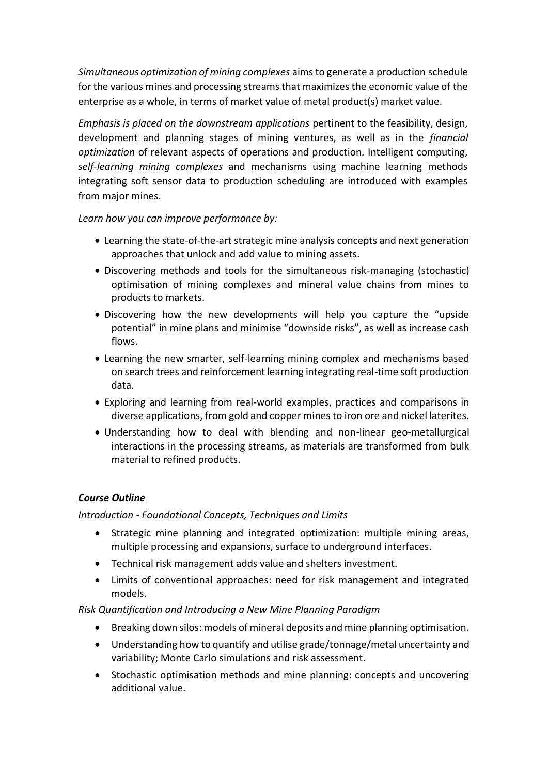*Simultaneous optimization of mining complexes* aims to generate a production schedule for the various mines and processing streams that maximizes the economic value of the enterprise as a whole, in terms of market value of metal product(s) market value.

*Emphasis is placed on the downstream applications* pertinent to the feasibility, design, development and planning stages of mining ventures, as well as in the *financial optimization* of relevant aspects of operations and production. Intelligent computing, *self-learning mining complexes* and mechanisms using machine learning methods integrating soft sensor data to production scheduling are introduced with examples from major mines.

# *Learn how you can improve performance by:*

- Learning the state-of-the-art strategic mine analysis concepts and next generation approaches that unlock and add value to mining assets.
- Discovering methods and tools for the simultaneous risk-managing (stochastic) optimisation of mining complexes and mineral value chains from mines to products to markets.
- Discovering how the new developments will help you capture the "upside potential" in mine plans and minimise "downside risks", as well as increase cash flows.
- Learning the new smarter, self-learning mining complex and mechanisms based on search trees and reinforcement learning integrating real-time soft production data.
- Exploring and learning from real-world examples, practices and comparisons in diverse applications, from gold and copper mines to iron ore and nickel laterites.
- Understanding how to deal with blending and non-linear geo-metallurgical interactions in the processing streams, as materials are transformed from bulk material to refined products.

# *Course Outline*

# *Introduction - Foundational Concepts, Techniques and Limits*

- Strategic mine planning and integrated optimization: multiple mining areas, multiple processing and expansions, surface to underground interfaces.
- Technical risk management adds value and shelters investment.
- Limits of conventional approaches: need for risk management and integrated models.

# *Risk Quantification and Introducing a New Mine Planning Paradigm*

- Breaking down silos: models of mineral deposits and mine planning optimisation.
- Understanding how to quantify and utilise grade/tonnage/metal uncertainty and variability; Monte Carlo simulations and risk assessment.
- Stochastic optimisation methods and mine planning: concepts and uncovering additional value.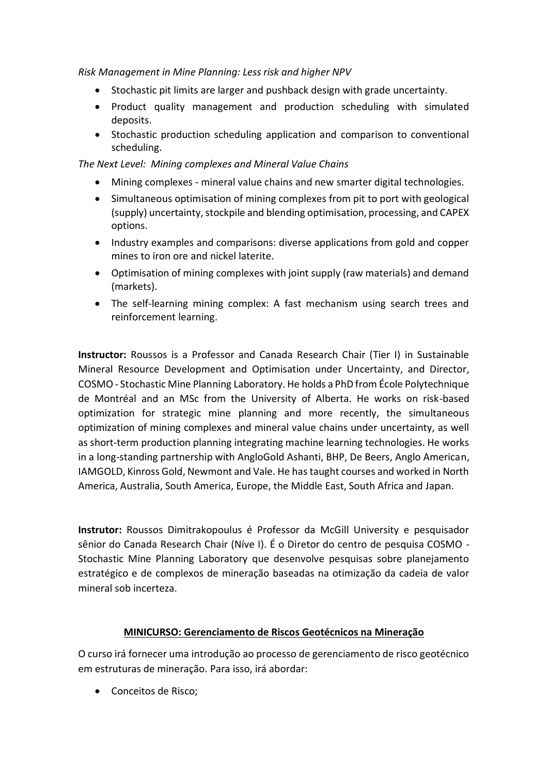*Risk Management in Mine Planning: Less risk and higher NPV*

- Stochastic pit limits are larger and pushback design with grade uncertainty.
- Product quality management and production scheduling with simulated deposits.
- Stochastic production scheduling application and comparison to conventional scheduling.

*The Next Level: Mining complexes and Mineral Value Chains* 

- Mining complexes mineral value chains and new smarter digital technologies.
- Simultaneous optimisation of mining complexes from pit to port with geological (supply) uncertainty, stockpile and blending optimisation, processing, and CAPEX options.
- Industry examples and comparisons: diverse applications from gold and copper mines to iron ore and nickel laterite.
- Optimisation of mining complexes with joint supply (raw materials) and demand (markets).
- The self-learning mining complex: A fast mechanism using search trees and reinforcement learning.

**Instructor:** Roussos is a Professor and Canada Research Chair (Tier I) in Sustainable Mineral Resource Development and Optimisation under Uncertainty, and Director, COSMO - Stochastic Mine Planning Laboratory. He holds a PhD from École Polytechnique de Montréal and an MSc from the University of Alberta. He works on risk-based optimization for strategic mine planning and more recently, the simultaneous optimization of mining complexes and mineral value chains under uncertainty, as well as short-term production planning integrating machine learning technologies. He works in a long-standing partnership with AngloGold Ashanti, BHP, De Beers, Anglo American, IAMGOLD, Kinross Gold, Newmont and Vale. He has taught courses and worked in North America, Australia, South America, Europe, the Middle East, South Africa and Japan.

**Instrutor:** Roussos Dimitrakopoulus é Professor da McGill University e pesquisador sênior do Canada Research Chair (Níve I). É o Diretor do centro de pesquisa COSMO - Stochastic Mine Planning Laboratory que desenvolve pesquisas sobre planejamento estratégico e de complexos de mineração baseadas na otimização da cadeia de valor mineral sob incerteza.

# **MINICURSO: Gerenciamento de Riscos Geotécnicos na Mineração**

O curso irá fornecer uma introdução ao processo de gerenciamento de risco geotécnico em estruturas de mineração. Para isso, irá abordar:

Conceitos de Risco;